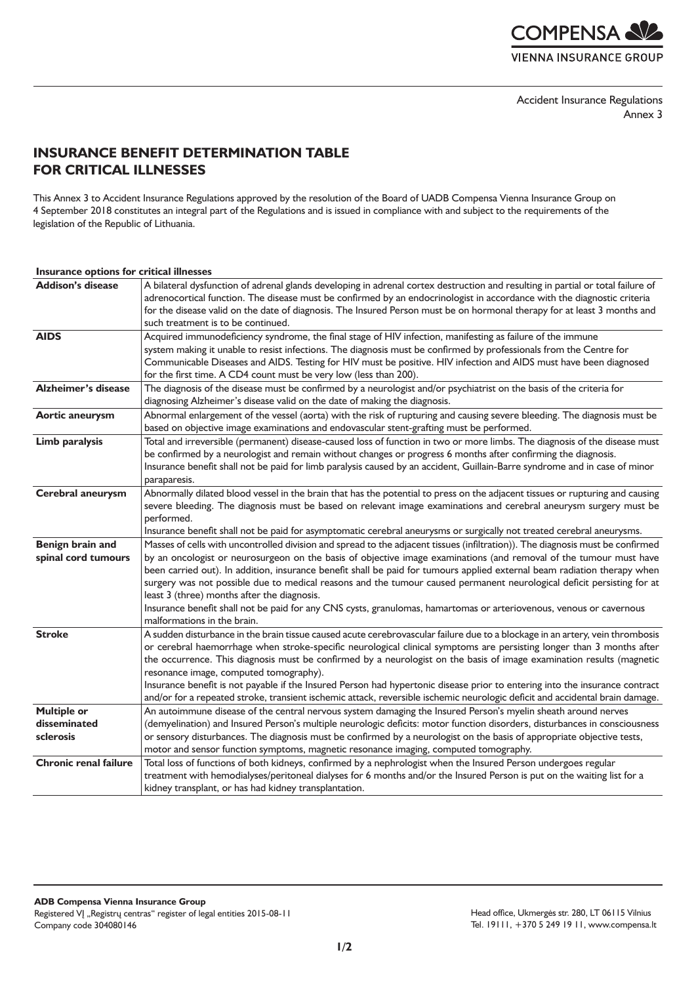**COMPENSA AVE VIENNA INSURANCE GROUP** 

Accident Insurance Regulations Annex 3

## **INSURANCE BENEFIT DETERMINATION TABLE FOR CRITICAL ILLNESSES**

This Annex 3 to Accident Insurance Regulations approved by the resolution of the Board of UADB Compensa Vienna Insurance Group on 4 September 2018 constitutes an integral part of the Regulations and is issued in compliance with and subject to the requirements of the legislation of the Republic of Lithuania.

| <b>Addison's disease</b>                        | A bilateral dysfunction of adrenal glands developing in adrenal cortex destruction and resulting in partial or total failure of<br>adrenocortical function. The disease must be confirmed by an endocrinologist in accordance with the diagnostic criteria<br>for the disease valid on the date of diagnosis. The Insured Person must be on hormonal therapy for at least 3 months and<br>such treatment is to be continued.                                                                                                                                                                                                                                                                                    |
|-------------------------------------------------|-----------------------------------------------------------------------------------------------------------------------------------------------------------------------------------------------------------------------------------------------------------------------------------------------------------------------------------------------------------------------------------------------------------------------------------------------------------------------------------------------------------------------------------------------------------------------------------------------------------------------------------------------------------------------------------------------------------------|
| <b>AIDS</b>                                     | Acquired immunodeficiency syndrome, the final stage of HIV infection, manifesting as failure of the immune<br>system making it unable to resist infections. The diagnosis must be confirmed by professionals from the Centre for<br>Communicable Diseases and AIDS. Testing for HIV must be positive. HIV infection and AIDS must have been diagnosed<br>for the first time. A CD4 count must be very low (less than 200).                                                                                                                                                                                                                                                                                      |
| <b>Alzheimer's disease</b>                      | The diagnosis of the disease must be confirmed by a neurologist and/or psychiatrist on the basis of the criteria for<br>diagnosing Alzheimer's disease valid on the date of making the diagnosis.                                                                                                                                                                                                                                                                                                                                                                                                                                                                                                               |
| <b>Aortic aneurysm</b>                          | Abnormal enlargement of the vessel (aorta) with the risk of rupturing and causing severe bleeding. The diagnosis must be<br>based on objective image examinations and endovascular stent-grafting must be performed.                                                                                                                                                                                                                                                                                                                                                                                                                                                                                            |
| Limb paralysis                                  | Total and irreversible (permanent) disease-caused loss of function in two or more limbs. The diagnosis of the disease must<br>be confirmed by a neurologist and remain without changes or progress 6 months after confirming the diagnosis.<br>Insurance benefit shall not be paid for limb paralysis caused by an accident, Guillain-Barre syndrome and in case of minor<br>paraparesis.                                                                                                                                                                                                                                                                                                                       |
| Cerebral aneurysm                               | Abnormally dilated blood vessel in the brain that has the potential to press on the adjacent tissues or rupturing and causing<br>severe bleeding. The diagnosis must be based on relevant image examinations and cerebral aneurysm surgery must be<br>performed.<br>Insurance benefit shall not be paid for asymptomatic cerebral aneurysms or surgically not treated cerebral aneurysms.                                                                                                                                                                                                                                                                                                                       |
| Benign brain and<br>spinal cord tumours         | Masses of cells with uncontrolled division and spread to the adjacent tissues (infiltration)). The diagnosis must be confirmed<br>by an oncologist or neurosurgeon on the basis of objective image examinations (and removal of the tumour must have<br>been carried out). In addition, insurance benefit shall be paid for tumours applied external beam radiation therapy when<br>surgery was not possible due to medical reasons and the tumour caused permanent neurological deficit persisting for at<br>least 3 (three) months after the diagnosis.<br>Insurance benefit shall not be paid for any CNS cysts, granulomas, hamartomas or arteriovenous, venous or cavernous<br>malformations in the brain. |
| <b>Stroke</b>                                   | A sudden disturbance in the brain tissue caused acute cerebrovascular failure due to a blockage in an artery, vein thrombosis<br>or cerebral haemorrhage when stroke-specific neurological clinical symptoms are persisting longer than 3 months after<br>the occurrence. This diagnosis must be confirmed by a neurologist on the basis of image examination results (magnetic<br>resonance image, computed tomography).<br>Insurance benefit is not payable if the Insured Person had hypertonic disease prior to entering into the insurance contract<br>and/or for a repeated stroke, transient ischemic attack, reversible ischemic neurologic deficit and accidental brain damage.                        |
| <b>Multiple or</b><br>disseminated<br>sclerosis | An autoimmune disease of the central nervous system damaging the Insured Person's myelin sheath around nerves<br>(demyelination) and Insured Person's multiple neurologic deficits: motor function disorders, disturbances in consciousness<br>or sensory disturbances. The diagnosis must be confirmed by a neurologist on the basis of appropriate objective tests,<br>motor and sensor function symptoms, magnetic resonance imaging, computed tomography.                                                                                                                                                                                                                                                   |
| <b>Chronic renal failure</b>                    | Total loss of functions of both kidneys, confirmed by a nephrologist when the Insured Person undergoes regular<br>treatment with hemodialyses/peritoneal dialyses for 6 months and/or the Insured Person is put on the waiting list for a<br>kidney transplant, or has had kidney transplantation.                                                                                                                                                                                                                                                                                                                                                                                                              |

## **Insurance options for critical illnesses**